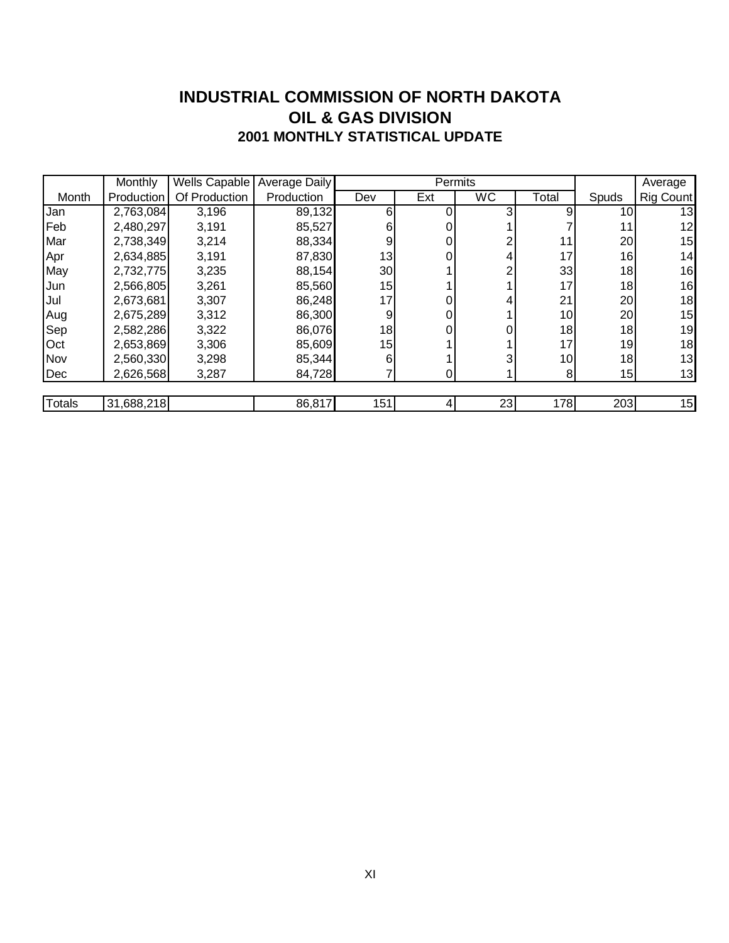#### **INDUSTRIAL COMMISSION OF NORTH DAKOTA 2001 MONTHLY STATISTICAL UPDATE OIL & GAS DIVISION**

|               | <b>Monthly</b> | Wells Capable | Average Daily |                 |     | Permits   |       |                 | Average   |
|---------------|----------------|---------------|---------------|-----------------|-----|-----------|-------|-----------------|-----------|
| Month         | Production     | Of Production | Production    | Dev             | Ext | <b>WC</b> | Total | Spuds           | Rig Count |
| Jan           | 2,763,084      | 3,196         | 89,132        | 6               |     |           | 9     | 10I             | 13        |
| Feb           | 2,480,297      | 3,191         | 85,527        | 61              |     |           |       | 11              | 12        |
| Mar           | 2,738,349      | 3,214         | 88,334        | 9               |     |           | 11    | 20 <sup>1</sup> | 15        |
| Apr           | 2,634,885      | 3,191         | 87,830        | 13              |     |           | 17    | 16              | 14        |
| May           | 2,732,775      | 3,235         | 88,154        | 30 <sup>°</sup> |     |           | 33    | 18 <sup>1</sup> | 16        |
| Jun           | 2,566,805      | 3,261         | 85,560        | 15              |     |           | 17    | 18 <sup>1</sup> | 16        |
| Jul           | 2,673,681      | 3,307         | 86,248        | 17              |     |           | 21    | 20 <sub>l</sub> | 18        |
| Aug           | 2,675,289      | 3,312         | 86,300        | 9               |     |           | 10    | 20 <sub>l</sub> | 15        |
| Sep           | 2,582,286      | 3,322         | 86,076        | 18              |     |           | 18    | 18              | 19        |
| Oct           | 2,653,869      | 3,306         | 85,609        | 15              |     |           | 17    | 19              | 18        |
| Nov           | 2,560,330      | 3,298         | 85,344        | 6               |     |           | 10    | 18 <sup>1</sup> | 13        |
| Dec           | 2,626,568      | 3,287         | 84,728        |                 |     |           | 8     | 15              | 13        |
|               |                |               |               |                 |     |           |       |                 |           |
| <b>Totals</b> | 31,688,218     |               | 86,817        | 151             |     | 23        | 178   | 203             | 15        |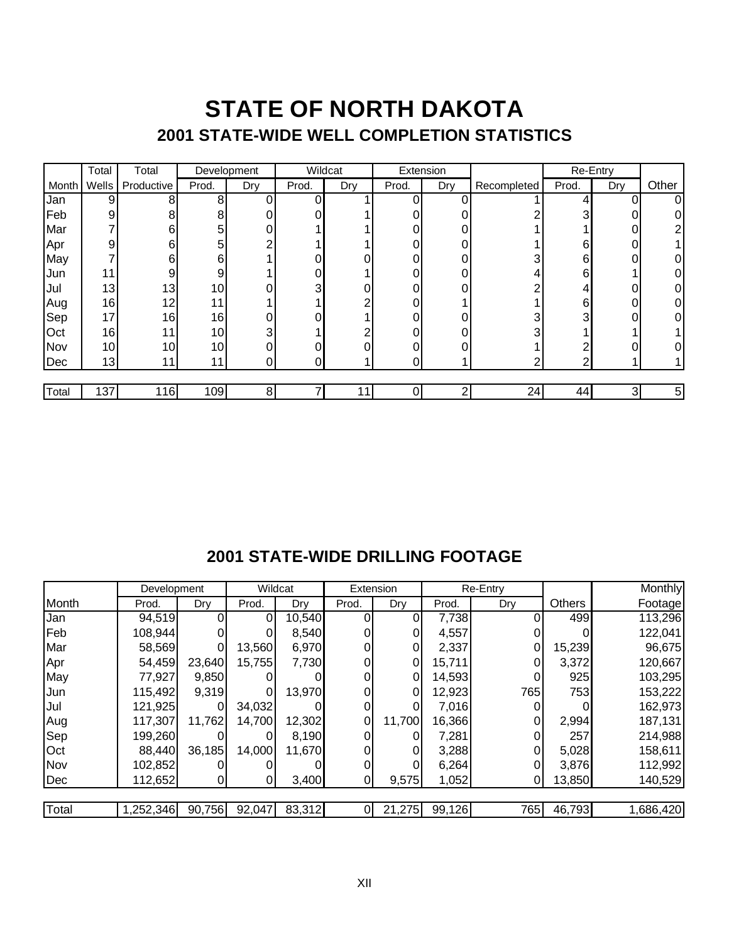### **STATE OF NORTH DAKOTA 2001 STATE-WIDE WELL COMPLETION STATISTICS**

|       | Total           | Total           | Development |     | Wildcat        |     | Extension |     |             |       | Re-Entry |                |
|-------|-----------------|-----------------|-------------|-----|----------------|-----|-----------|-----|-------------|-------|----------|----------------|
| Month | Wells           | Productive      | Prod.       | Dry | Prod.          | Dry | Prod.     | Dry | Recompleted | Prod. | Dry      | Other          |
| Jan   | $\vert 9 \vert$ | 8               | 8           | 0   | 0 <sub>1</sub> |     | ∩         | 0   |             | 4     | 0        | $\Omega$       |
| Feb   | 9               | 8               | 8           | 0   | 0              |     |           | 0   |             | 3     | 0        |                |
| Mar   |                 | 6               | 5           | 0   |                |     |           | 0   |             |       | 0        | ⌒              |
| Apr   | 9               | 6               | 5           | ⌒   |                |     |           | 0   |             | 6     | 0        |                |
| May   |                 | 6               | 6           |     | 0              | 0   |           | 0   |             | 6     | 0        | 0              |
| Jun   | 11              | 9               | 9           |     | 0              |     | ი         | 0   |             | 6     |          | 0              |
| Jul   | 13              | 13              | 10          |     | 3              |     |           |     |             | 4     |          | 0              |
| Aug   | 16              | 12 <sub>1</sub> | 11          |     |                | ⌒   |           |     |             | 6     | 0        | 0              |
| Sep   | 17              | 16              | 16          | 0   | O.             |     | ი         | 0   |             | 3     | 0        | 0              |
| Oct   | 16              | 11              | 10          | 3   |                | ⌒   |           | 0   |             |       |          |                |
| Nov   | 10 <sup>1</sup> | 10              | 10          | 0   | 0              | 0   |           | 0   |             | ົ     |          |                |
| Dec   | 13              | 11              | 11          | 0   | 0              |     | 0         |     | ∩           | ◠     |          |                |
|       |                 |                 |             |     |                |     |           |     |             |       |          |                |
| Total | 137             | 116             | 109         | 8   | 7              | 11  | 0         | 2   | 24          | 44    | 3        | 5 <sup>1</sup> |

#### **2001 STATE-WIDE DRILLING FOOTAGE**

|       | Development |        | Wildcat        |        | Extension |          | Re-Entry |     |               | Monthly   |
|-------|-------------|--------|----------------|--------|-----------|----------|----------|-----|---------------|-----------|
| Month | Prod.       | Dry    | Prod.          | Dry    | Prod.     | Dry      | Prod.    | Dry | <b>Others</b> | Footage   |
| Jan   | 94,519      |        | $\overline{0}$ | 10,540 |           |          | 7,738    |     | 499           | 113,296   |
| Feb   | 108,944     |        |                | 8,540  |           |          | 4,557    |     |               | 122,041   |
| Mar   | 58,569      | 0      | 13,560         | 6,970  |           | 01       | 2,337    | 0   | 15,239        | 96,675    |
| Apr   | 54,459      | 23,640 | 15,755         | 7,730  |           | 01       | 15,711   | 0   | 3,372         | 120,667   |
| May   | 77,927      | 9,850  |                |        |           | 01       | 14,593   |     | 925           | 103,295   |
| Jun   | 115,492     | 9,319  | 01             | 13,970 |           | 01       | 12,923   | 765 | <b>753</b>    | 153,222   |
| Jul   | 121,925     | 0      | 34,032         |        |           | ΩI       | 7,016    |     |               | 162,973   |
| Aug   | 117,307     | 11,762 | 14,700         | 12,302 | 0         | 11,700   | 16,366   |     | 2,994         | 187,131   |
| Sep   | 199,260     |        | 0              | 8,190  |           |          | 7,281    |     | 257           | 214,988   |
| Oct   | 88,440      | 36,185 | 14,000         | 11,670 |           | $\Omega$ | 3,288    | 0   | 5,028         | 158,611   |
| Nov   | 102,852     |        |                |        |           |          | 6,264    |     | 3,876         | 112,992   |
| Dec   | 112,652     | 0      | 01             | 3,400  |           | 9,575    | 1,052    |     | 13,850        | 140,529   |
| Total | 1,252,346   | 90,756 | 92,047         | 83,312 |           | 21,275   | 99,126   | 765 | 46,793        | 1,686,420 |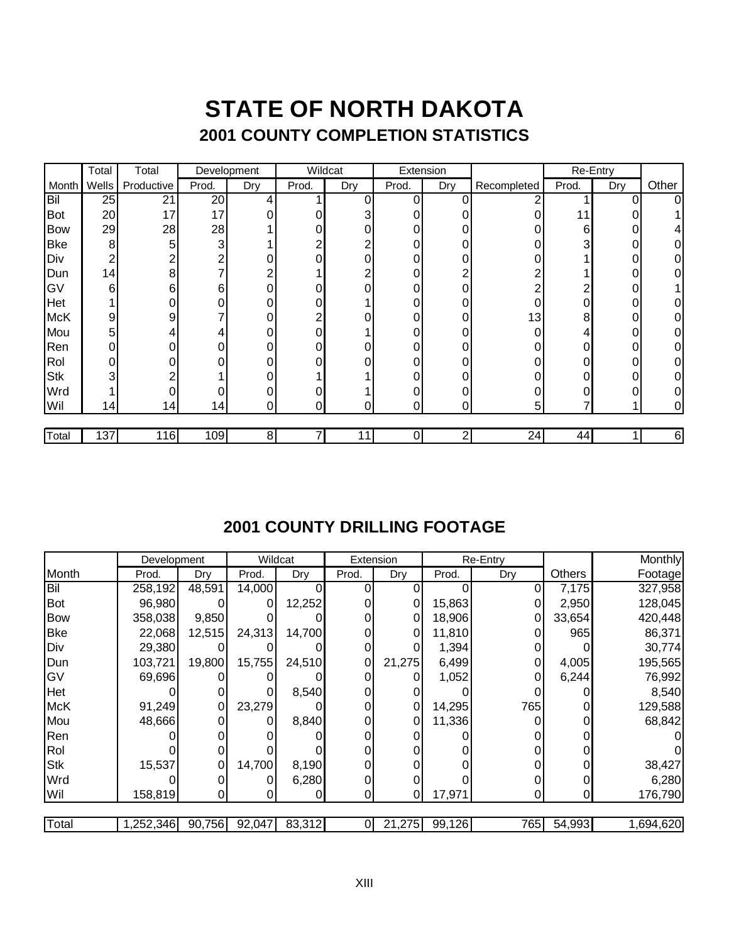## **STATE OF NORTH DAKOTA 2001 COUNTY COMPLETION STATISTICS**

|            | Total | Total      | Development |     | Wildcat |                | Extension |              |                |       | Re-Entry |                  |
|------------|-------|------------|-------------|-----|---------|----------------|-----------|--------------|----------------|-------|----------|------------------|
| Month      | Wells | Productive | Prod.       | Dry | Prod.   | Dry            | Prod.     | Dry          | Recompleted    | Prod. | Dry      | Other            |
| Bil        | 25    | 21         | 20          | 4   |         | 0              | 0         | 0            |                |       | 0        | 0                |
| <b>Bot</b> | 20    | 17         | 17          | 0   |         | 3              |           |              |                | 11    |          |                  |
| Bow        | 29    | 28         | 28          |     | 0       | 0              |           | 0            | 0              | 6     |          |                  |
| <b>Bke</b> | 8     | 5          | 3           |     | ⌒       | $\overline{c}$ |           | 0            | 0              | 3     |          |                  |
| Div        | 2     |            | 2           | 0   | 0       | 0              |           | 0            | 0              |       | 0        |                  |
| Dun        | 14    | 8          |             | 2   |         | $\overline{c}$ |           |              | ⌒              |       |          |                  |
| GV         | 6     | 6          | 6           | 0   | 0       | 0              |           | 0            | ⌒              |       |          |                  |
| Het        |       |            |             | 0   | 0       |                |           | 0            | 0              | 0     | 0        |                  |
| McK        | 9     | 9          |             | 0   | 2       | 0              |           | 0            | 13             | 8     | 0        |                  |
| Mou        | 5     |            |             | 0   | 0       |                |           | 0            | 0              |       | 0        |                  |
| Ren        | 0     |            |             | 0   | 0       | 0              |           | 0            | 0              | 0     | 0        |                  |
| Rol        | 0     |            |             | 0   | 0       | 0              |           | 0            | 0              | 0     | 0        | O.               |
| Stk        | 3     |            |             | 0   |         |                |           | 0            |                |       | 0        |                  |
| Wrd        |       |            |             | 0   | 0       |                |           | 0            | 0              |       |          |                  |
| Wil        | 14    | 14         | 14          | 0   | 0       | 0              | 0         | $\mathbf{0}$ | 5 <sup>1</sup> |       |          | 01               |
|            |       |            |             |     |         |                |           |              |                |       |          |                  |
| Total      | 137   | 116        | 109         | 8   |         | 11             | 0         | 2            | 24             | 44    |          | $6 \overline{6}$ |

### **2001 COUNTY DRILLING FOOTAGE**

|            | Development |          | Wildcat |        | Extension |        |        | <b>Re-Entry</b> |        | Monthly   |
|------------|-------------|----------|---------|--------|-----------|--------|--------|-----------------|--------|-----------|
| Month      | Prod.       | Dry      | Prod.   | Dry    | Prod.     | Dry    | Prod.  | Dry             | Others | Footage   |
| Bil        | 258,192     | 48,591   | 14,000  | O      |           |        |        | 0               | 7,175  | 327,958   |
| Bot        | 96,980      |          | 0       | 12,252 |           | 0      | 15,863 |                 | 2,950  | 128,045   |
| <b>Bow</b> | 358,038     | 9,850    |         |        |           | 0      | 18,906 | 0               | 33,654 | 420,448   |
| Bke        | 22,068      | 12,515   | 24,313  | 14,700 |           | 0      | 11,810 |                 | 965    | 86,371    |
| Div        | 29,380      |          |         |        |           |        | 1,394  |                 |        | 30,774    |
| Dun        | 103,721     | 19,800   | 15,755  | 24,510 |           | 21,275 | 6,499  | 0               | 4,005  | 195,565   |
| lGV        | 69,696      |          |         |        |           |        | 1,052  |                 | 6,244  | 76,992    |
| Het        |             | 0        |         | 8,540  |           |        |        |                 |        | 8,540     |
| McK        | 91,249      | 0        | 23,279  |        |           | 0      | 14,295 | 765             |        | 129,588   |
| Mou        | 48,666      |          |         | 8,840  |           | 0      | 11,336 |                 |        | 68,842    |
| Ren        |             |          |         |        |           |        |        |                 |        |           |
| Rol        |             |          |         |        |           |        |        |                 |        |           |
| Stk        | 15,537      | $\Omega$ | 14,700  | 8,190  |           |        |        |                 |        | 38,427    |
| Wrd        |             |          |         | 6,280  |           |        |        |                 |        | 6,280     |
| Wil        | 158,819     |          |         | 0      |           |        | 17,971 |                 |        | 176,790   |
|            |             |          |         |        |           |        |        |                 |        |           |
| Total      | 1,252,346   | 90,756   | 92,047  | 83,312 |           | 21,275 | 99,126 | 765             | 54,993 | 1,694,620 |